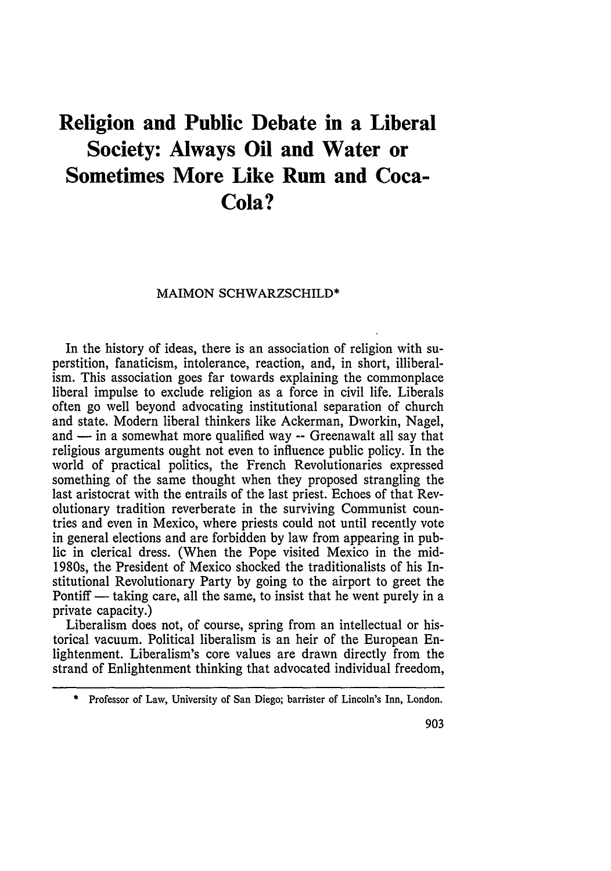# **Religion and Public Debate in a Liberal Society: Always Oil and Water or Sometimes More Like Rum and Coca-Cola?**

#### MAIMON SCHWARZSCHILD\*

In the history of ideas, there is an association of religion with superstition, fanaticism, intolerance, reaction, and, in short, illiberalism. This association goes far towards explaining the commonplace liberal impulse to exclude religion as a force in civil life. Liberals often go well beyond advocating institutional separation of church and state. Modern liberal thinkers like Ackerman, Dworkin, Nagel, and  $-$  in a somewhat more qualified way  $-$  Greenawalt all say that religious arguments ought not even to influence public policy. In the world of practical politics, the French Revolutionaries expressed something of the same thought when they proposed strangling the last aristocrat with the entrails of the last priest. Echoes of that Revolutionary tradition reverberate in the surviving Communist countries and even in Mexico, where priests could not until recently vote in general elections and are forbidden by law from appearing in public in clerical dress. (When the Pope visited Mexico in the mid-1980s, the President of Mexico shocked the traditionalists of his Institutional Revolutionary Party by going to the airport to greet the Pontiff — taking care, all the same, to insist that he went purely in a private capacity.)

Liberalism does not, of course, spring from an intellectual or historical vacuum. Political liberalism is an heir of the European Enlightenment. Liberalism's core values are drawn directly from the strand of Enlightenment thinking that advocated individual freedom,

<sup>\*</sup> Professor of Law, University of San Diego; barrister of Lincoln's Inn, London.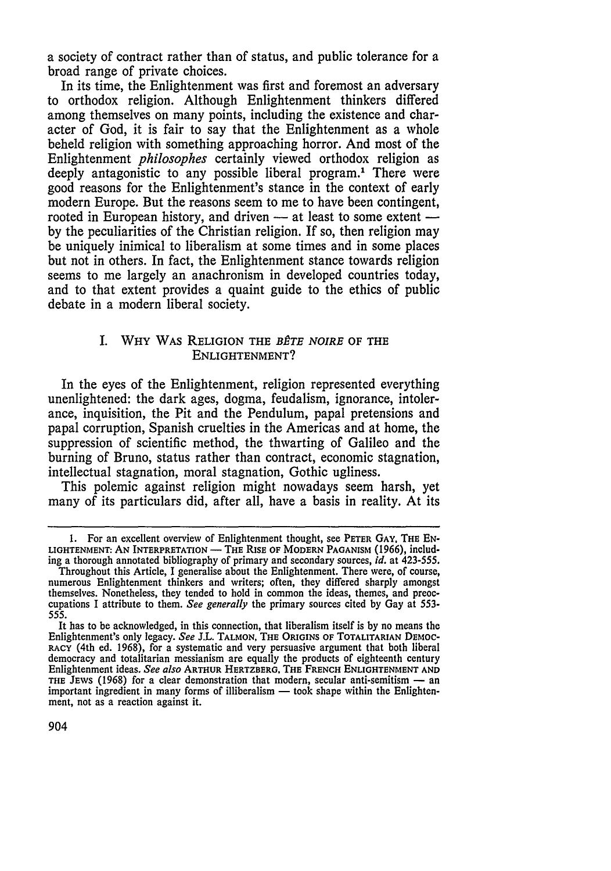a society of contract rather than of status, and public tolerance for a broad range of private choices.

In its time, the Enlightenment was first and foremost an adversary to orthodox religion. Although Enlightenment thinkers differed among themselves on many points, including the existence and character of God, it is fair to say that the Enlightenment as a whole beheld religion with something approaching horror. And most of the Enlightenment *philosophes* certainly viewed orthodox religion as deeply antagonistic to any possible liberal program.' There were good reasons for the Enlightenment's stance in the context of early modern Europe. But the reasons seem to me to have been contingent, rooted in European history, and driven - at least to some extent by the peculiarities of the Christian religion. If so, then religion may be uniquely inimical to liberalism at some times and in some places but not in others. In fact, the Enlightenment stance towards religion seems to me largely an anachronism in developed countries today, and to that extent provides a quaint guide to the ethics of public debate in a modern liberal society.

## **I.** WHY WAS RELIGION THE *BÊTE NOIRE* OF THE **ENLIGHTENMENT?**

In the eyes of the Enlightenment, religion represented everything unenlightened: the dark ages, dogma, feudalism, ignorance, intolerance, inquisition, the Pit and the Pendulum, papal pretensions and papal corruption, Spanish cruelties in the Americas and at home, the suppression of scientific method, the thwarting of Galileo and the burning of Bruno, status rather than contract, economic stagnation, intellectual stagnation, moral stagnation, Gothic ugliness.

This polemic against religion might nowadays seem harsh, yet many of its particulars did, after all, have a basis in reality. At its

**<sup>1.</sup>** For an excellent overview of Enlightenment thought, see **PETER GAY. THE EN-**LIGHTENMENT: **AN** INTERPRETATION- **THE** RISE **OF** MODERN **PAGANISM (1966),** including a thorough annotated bibliography of primary and secondary sources, *id.* at 423-555.

Throughout this Article, I generalise about the Enlightenment. There were, of course, numerous Enlightenment thinkers and writers; often, they differed sharply amongst themselves. Nonetheless, they tended to hold in common the ideas, themes, and preoccupations I attribute to them. *See generally* the primary sources cited by Gay at 553- *555.*

It has to be acknowledged, in this connection, that liberalism itself is by no means the Enlightenment's only legacy. *See* J.L. **TALMON, THE** ORIGINS **OF TOTALITARIAN** DEMOC-RACY (4th ed. 1968), for a systematic and very persuasive argument that both liberal democracy and totalitarian messianism are equally the products of eighteenth century Enlightenment ideas. *See also* **ARTHUR** HERTZBERG. **THE FRENCH ENLIGHTENMENT AND THE JEWS** (1968) for a clear demonstration that modern, secular anti-semitism - an important ingredient in many forms of illiberalism - took shape within **the** Enlightenment, not as a reaction against it.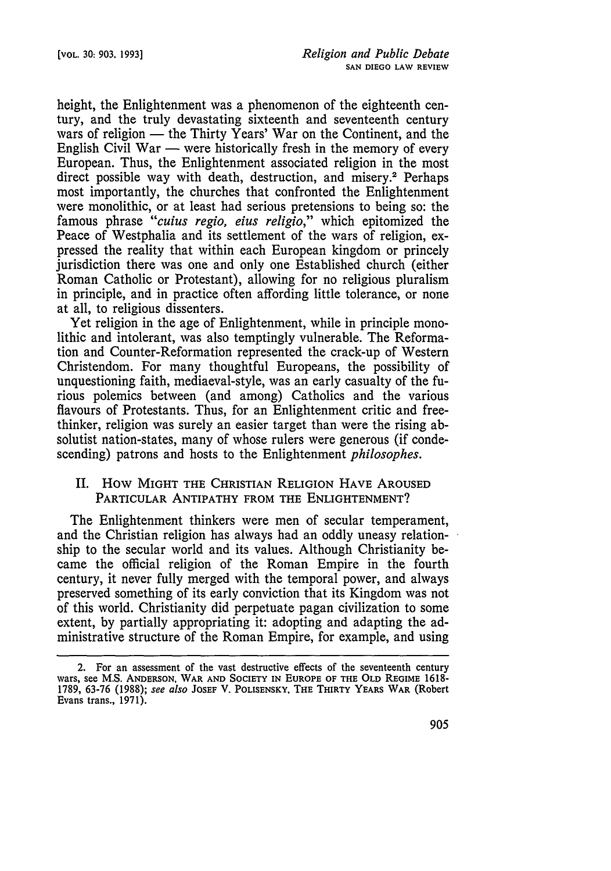height, the Enlightenment was a phenomenon of the eighteenth century, and the truly devastating sixteenth and seventeenth century wars of religion  $-$  the Thirty Years' War on the Continent, and the English Civil War — were historically fresh in the memory of every European. Thus, the Enlightenment associated religion in the most direct possible way with death, destruction, and misery.<sup>2</sup> Perhaps most importantly, the churches that confronted the Enlightenment were monolithic, or at least had serious pretensions to being so: the famous phrase *"cuius regio, eius religio,"* which epitomized the Peace of Westphalia and its settlement of the wars of religion, expressed the reality that within each European kingdom or princely jurisdiction there was one and only one Established church (either Roman Catholic or Protestant), allowing for no religious pluralism in principle, and in practice often affording little tolerance, or none at all, to religious dissenters.

Yet religion in the age of Enlightenment, while in principle monolithic and intolerant, was also temptingly vulnerable. The Reformation and Counter-Reformation represented the crack-up of Western Christendom. For many thoughtful Europeans, the possibility of unquestioning faith, mediaeval-style, was an early casualty of the furious polemics between (and among) Catholics and the various flavours of Protestants. Thus, for an Enlightenment critic and freethinker, religion was surely an easier target than were the rising absolutist nation-states, many of whose rulers were generous (if condescending) patrons and hosts to the Enlightenment *philosophes.*

# II. How MIGHT **THE** CHRISTIAN RELIGION **HAVE AROUSED** PARTICULAR ANTIPATHY FROM THE **ENLIGHTENMENT?**

The Enlightenment thinkers were men of secular temperament, and the Christian religion has always had an oddly uneasy relationship to the secular world and its values. Although Christianity became the official religion of the Roman Empire in the fourth century, it never fully merged with the temporal power, and always preserved something of its early conviction that its Kingdom was not of this world. Christianity did perpetuate pagan civilization to some extent, by partially appropriating it: adopting and adapting the administrative structure of the Roman Empire, for example, and using

**<sup>2.</sup>** For **an** assessment of **the** vast destructive effects of the seventeenth century wars, see **M.S. ANDERSON,** WAR **AND SOCIETY** IN **EUROPE OF THE OLD** REGIME **1618- 1789, 63-76 (1988);** see also **JOSEF** V. **POLISENSKY, THE THIRTY** YEARS WAR (Robert Evans trans., **1971).**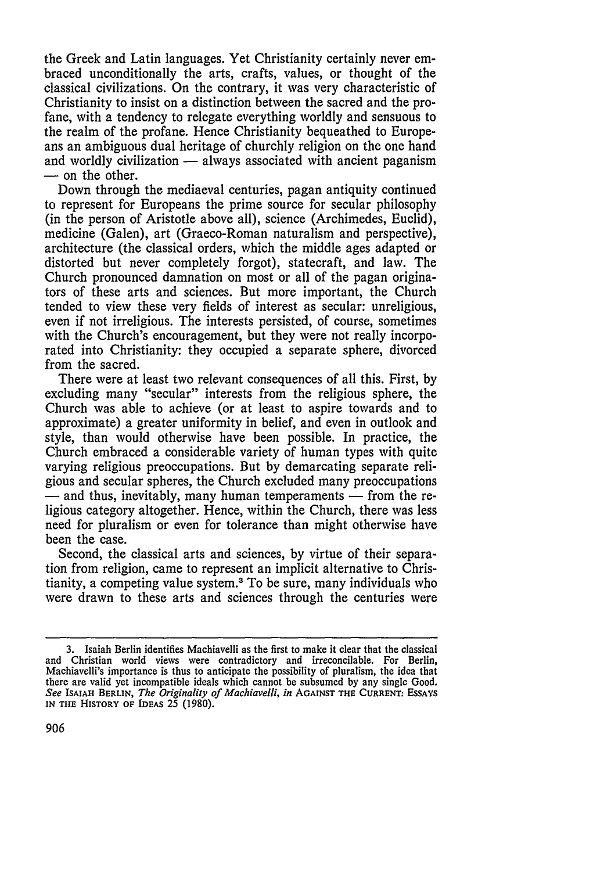the Greek and Latin languages. Yet Christianity certainly never embraced unconditionally the arts, crafts, values, or thought of the classical civilizations. On the contrary, it was very characteristic of Christianity to insist on a distinction between the sacred and the profane, with a tendency to relegate everything worldly and sensuous to the realm of the profane. Hence Christianity bequeathed to Europeans an ambiguous dual heritage of churchly religion on the one hand and worldly civilization  $-$  always associated with ancient paganism **-** on the other.

Down through the mediaeval centuries, pagan antiquity continued to represent for Europeans the prime source for secular philosophy (in the person of Aristotle above all), science (Archimedes, Euclid), medicine (Galen), art (Graeco-Roman naturalism and perspective), architecture (the classical orders, which the middle ages adapted or distorted but never completely forgot), statecraft, and law. The Church pronounced damnation on most or all of the pagan originators of these arts and sciences. But more important, the Church tended to view these very fields of interest as secular: unreligious, even if not irreligious. The interests persisted, of course, sometimes with the Church's encouragement, but they were not really incorporated into Christianity: they occupied a separate sphere, divorced from the sacred.

There were at least two relevant consequences of all this. First, by excluding many "secular" interests from the religious sphere, the Church was able to achieve (or at least to aspire towards and to approximate) a greater uniformity in belief, and even in outlook and style, than would otherwise have been possible. In practice, the Church embraced a considerable variety of human types with quite varying religious preoccupations. But by demarcating separate religious and secular spheres, the Church excluded many preoccupations **-** and thus, inevitably, many human temperaments **-** from the religious category altogether. Hence, within the Church, there was less need for pluralism or even for tolerance than might otherwise have been the case.

Second, the classical arts and sciences, by virtue of their separation from religion, came to represent an implicit alternative to Christianity, a competing value system.3 To be sure, many individuals who were drawn to these arts and sciences through the centuries were

**<sup>3.</sup>** Isaiah Berlin identifies Machiavelli as the first to make it clear that the classical and Christian world views were contradictory and irreconcilable. For Berlin, Machiavelli's importance is thus to anticipate the possibility of pluralism, the idea that there are valid yet incompatible ideals which cannot be subsumed by any single Good. *See* **ISAIAH BERLIN,** *The Originality of Machiavelli, in* **AGAINST THE CURRENT:** ESSAYS **IN THE HISTORY OF IDEAS** 25 **(1980).**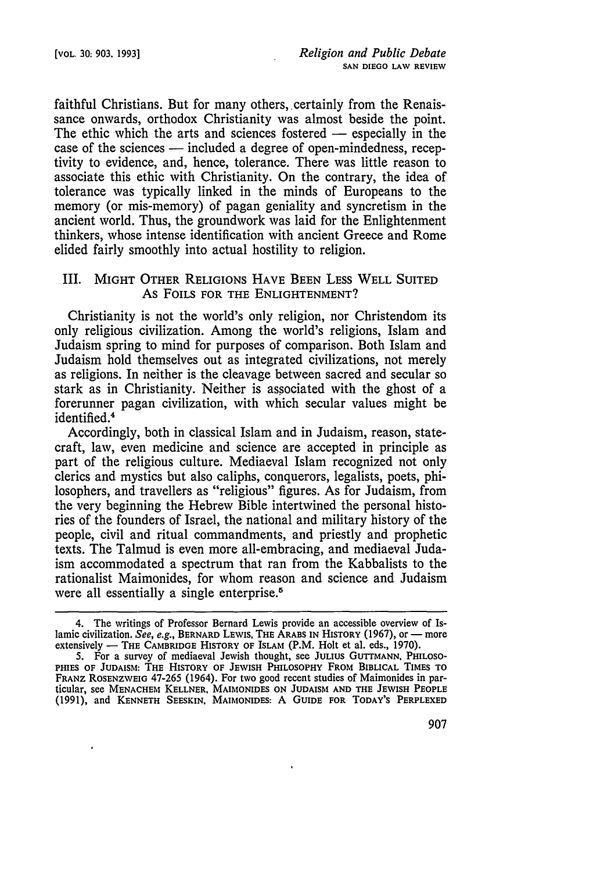faithful Christians. But for many others, certainly from the Renaissance onwards, orthodox Christianity was almost beside the point. The ethic which the arts and sciences fostered  $-$  especially in the case of the sciences **-** included a degree of open-mindedness, receptivity to evidence, and, hence, tolerance. There was little reason to associate this ethic with Christianity. On the contrary, the idea of tolerance was typically linked in the minds of Europeans to the memory (or mis-memory) of pagan geniality and syncretism in the ancient world. Thus, the groundwork was laid for the Enlightenment thinkers, whose intense identification with ancient Greece and Rome elided fairly smoothly into actual hostility to religion.

## III. MIGHT OTHER RELIGIONS HAVE BEEN **LESS** WELL SUITED As FOILS **FOR** THE **ENLIGHTENMENT?**

Christianity is not the world's only religion, nor Christendom its only religious civilization. Among the world's religions, Islam and Judaism spring to mind for purposes of comparison. Both Islam and Judaism hold themselves out as integrated civilizations, not merely as religions. In neither is the cleavage between sacred and secular so stark as in Christianity. Neither is associated with the ghost of a forerunner pagan civilization, with which secular values might be identified.<sup>4</sup>

Accordingly, both in classical Islam and in Judaism, reason, statecraft, law, even medicine and science are accepted in principle as part of the religious culture. Mediaeval Islam recognized not only clerics and mystics but also caliphs, conquerors, legalists, poets, philosophers, and travellers as "religious" figures. As for Judaism, from the very beginning the Hebrew Bible intertwined the personal histories of the founders of Israel, the national and military history of the people, civil and ritual commandments, and priestly and prophetic texts. The Talmud is even more all-embracing, and mediaeval Judaism accommodated a spectrum that ran from the Kabbalists to the rationalist Maimonides, for whom reason and science and Judaism were all essentially a single enterprise.<sup>5</sup>

<sup>4.</sup> The writings of Professor Bernard Lewis provide an accessible overview of Islamic civilization. See, e.g., BERNARD LEWIS, THE ARABS IN HISTORY (1967), or - more extensively - THE CAMBRIDGE HISTORY OF ISLAM (P.M. Holt et al. eds., 1970).

**S.** For a survey of mediaeval Jewish thought, see JULIUS GUTTMANN, PHILOSO-**PHIES** OF JUDAISM: THE **HISTORY** OF **JEWISH** PHILOSOPHY FROM BIBLICAL TIMES TO FRANZ ROSENZWEIG 47-265 (1964). For two good recent studies of Maimonides in particular, see MENACHEM KELLNER, MAIMONIDES **ON JUDAISM AND THE** JEWISH **PEOPLE** (1991), and **KENNETH SEESKIN, MAIMONIDES:** A **GUIDE FOR** TODAY'S **PERPLEXED**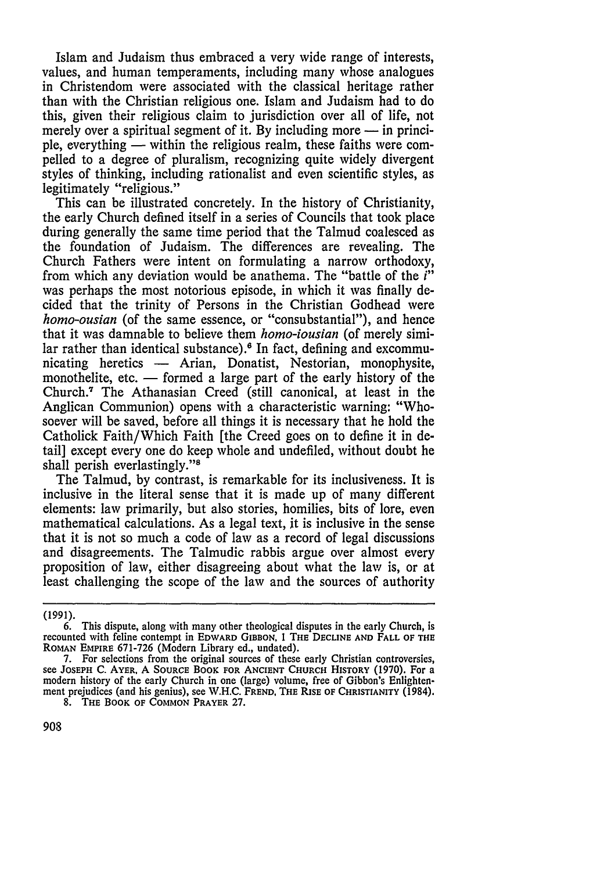Islam and Judaism thus embraced a very wide range of interests, values, and human temperaments, including many whose analogues in Christendom were associated with the classical heritage rather than with the Christian religious one. Islam and Judaism had to do this, given their religious claim to jurisdiction over all of life, not merely over a spiritual segment of it. By including more – in principle, everything — within the religious realm, these faiths were compelled to a degree of pluralism, recognizing quite widely divergent styles of thinking, including rationalist and even scientific styles, as legitimately "religious."

This can be illustrated concretely. In the history of Christianity, the early Church defined itself in a series of Councils that took place during generally the same time period that the Talmud coalesced as the foundation of Judaism. The differences are revealing. The Church Fathers were intent on formulating a narrow orthodoxy, from which any deviation would be anathema. The "battle of the *i"* was perhaps the most notorious episode, in which it was finally decided that the trinity of Persons in the Christian Godhead were *homo-ousian* (of the same essence, or "consubstantial"), and hence that it was damnable to believe them *homo-iousian* (of merely similar rather than identical substance).<sup>6</sup> In fact, defining and excommunicating heretics - Arian, Donatist, Nestorian, monophysite, monothelite, etc. — formed a large part of the early history of the Church.' The Athanasian Creed (still canonical, at least in the Anglican Communion) opens with a characteristic warning: "Whosoever will be saved, before all things it is necessary that he hold the Catholick Faith/Which Faith [the Creed goes on to define it in detail] except every one do keep whole and undefiled, without doubt he shall perish everlastingly."<sup>8</sup>

The Talmud, by contrast, is remarkable for its inclusiveness. It is inclusive in the literal sense that it is made up of many different elements: law primarily, but also stories, homilies, bits of lore, even mathematical calculations. As a legal text, it is inclusive in the sense that it is not so much a code of law as a record of legal discussions and disagreements. The Talmudic rabbis argue over almost every proposition of law, either disagreeing about what the law is, or at least challenging the scope of the law and the sources of authority

<sup>(1991).</sup>

<sup>6.</sup> This dispute, along with many other theological disputes in the early Church, is recounted with feline contempt in EDWARD **GIBBON,** I THE **DECLINE AND** FALL **OF THE** ROMAN EMPIRE 671-726 (Modern Library ed., undated).

<sup>7.</sup> For selections from the original sources of these early Christian controversies, see **JOSEPH** C. AYER, **A SOURCE** BOOK FOR **ANCIENT** CHURCH **HISTORY (1970).** For a modern history of the early Church in one (large) volume, free of Gibbon's Enlightenment prejudices (and his genius), see W.H.C. FREND, THE RISE OF CHRISTIANITY (1984).

**<sup>8.</sup>** THE BOOK OF **COMMON** PRAYER **27.**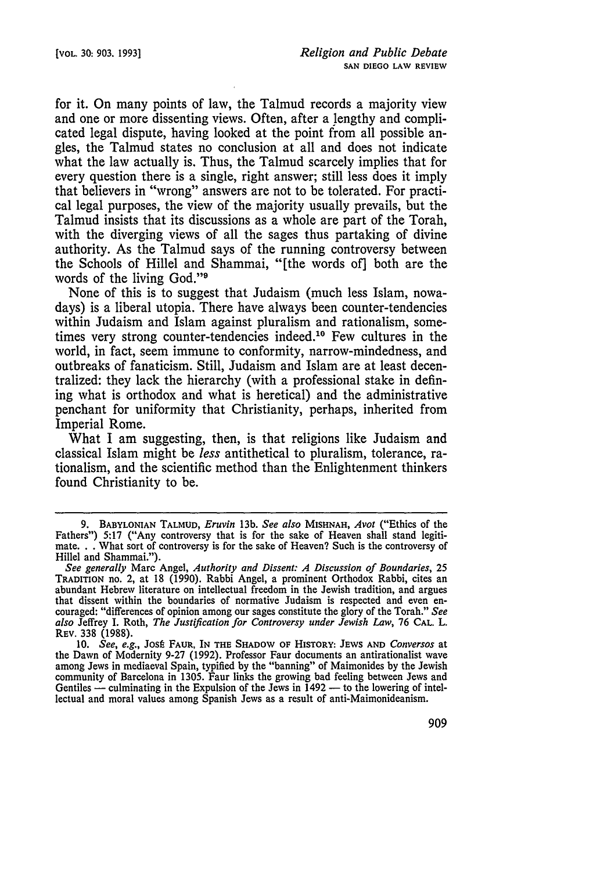for it. On many points of law, the Talmud records a majority view and one or more dissenting views. Often, after a lengthy and complicated legal dispute, having looked at the point from all possible angles, the Talmud states no conclusion at all and does not indicate what the law actually is. Thus, the Talmud scarcely implies that for every question there is a single, right answer; still less does it imply that believers in "wrong" answers are not to be tolerated. For practical legal purposes, the view of the majority usually prevails, but the Talmud insists that its discussions as a whole are part of the Torah, with the diverging views of all the sages thus partaking of divine authority. As the Talmud says of the running controversy between the Schools of Hillel and Shammai, "[the words of] both are the words of the living God."<sup>9</sup>

None of this is to suggest that Judaism (much less Islam, nowadays) is a liberal utopia. There have always been counter-tendencies within Judaism and Islam against pluralism and rationalism, sometimes very strong counter-tendencies indeed.<sup>10</sup> Few cultures in the world, in fact, seem immune to conformity, narrow-mindedness, and outbreaks of fanaticism. Still, Judaism and Islam are at least decentralized: they lack the hierarchy (with a professional stake in defining what is orthodox and what is heretical) and the administrative penchant for uniformity that Christianity, perhaps, inherited from Imperial Rome.

What I am suggesting, then, is that religions like Judaism and classical Islam might be *less* antithetical to pluralism, tolerance, rationalism, and the scientific method than the Enlightenment thinkers found Christianity to be.

**<sup>9.</sup>** BABYLONIAN **TALMUD,** *Eruvin* **13b.** *See also* **MISHNAH,** *Avot* ("Ethics of the Fathers") 5:17 ("Any controversy that is for the sake of Heaven shall stand legitimate... What sort of controversy is for the sake of Heaven? Such is the controversy of Hillel and Shammai.").

*See generally* Marc Angel, *Authority and Dissent: A Discussion of Boundaries, 25* TRADITION no. 2, at 18 (1990). Rabbi Angel, a prominent Orthodox Rabbi, cites an abundant Hebrew literature on intellectual freedom in the Jewish tradition, and argues that dissent within the boundaries of normative Judaism is respected and even encouraged: "differences of opinion among our sages constitute the glory of the Torah." *See also* Jeffrey I. Roth, *The Justification for Controversy under Jewish Law,* 76 **CAL.** L. REV. 338 (1988).

<sup>10.</sup> *See, e.g.,* Jost FAUR, IN **THE** SHADOW **OF** HISTORY: **JEWS AND** *Conversos* at the Dawn of Modernity 9-27 (1992). Professor Faur documents an antirationalist wave among Jews in mediaeval Spain, typified by the "banning" of Maimonides by the Jewish community of Barcelona in 1305. Faur links the growing bad feeling between Jews and<br>Community of Barcelona in 1305. Faur links the growing bad feeling between Jews and Gentiles  $-$  culminating in the Expulsion of the Jews in  $1492 -$  to the lowering of intellectual and moral values among Spanish Jews as a result of anti-Maimonideanism.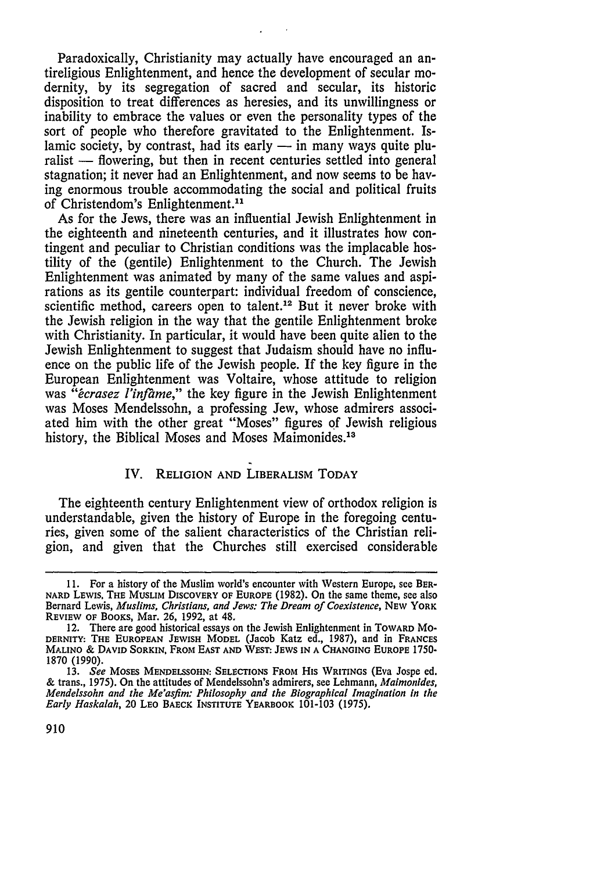Paradoxically, Christianity may actually have encouraged an antireligious Enlightenment, and hence the development of secular modernity, by its segregation of sacred and secular, its historic disposition to treat differences as heresies, and its unwillingness or inability to embrace the values or even the personality types of the sort of people who therefore gravitated to the Enlightenment. Islamic society, by contrast, had its early  $-$  in many ways quite pluralist - flowering, but then in recent centuries settled into general stagnation; it never had an Enlightenment, and now seems to be having enormous trouble accommodating the social and political fruits of Christendom's Enlightenment."'

As for the Jews, there was an influential Jewish Enlightenment in the eighteenth and nineteenth centuries, and it illustrates how contingent and peculiar to Christian conditions was the implacable hostility of the (gentile) Enlightenment to the Church. The Jewish Enlightenment was animated by many of the same values and aspirations as its gentile counterpart: individual freedom of conscience, scientific method, careers open to talent.<sup>12</sup> But it never broke with the Jewish religion in the way that the gentile Enlightenment broke with Christianity. In particular, it would have been quite alien to the Jewish Enlightenment to suggest that Judaism should have no influence on the public life of the Jewish people. If the key figure in the European Enlightenment was Voltaire, whose attitude to religion was "ecrasez l'infame," the key figure in the Jewish Enlightenment was Moses Mendelssohn, a professing Jew, whose admirers associated him with the other great "Moses" figures **of** Jewish religious history, the Biblical Moses and Moses Maimonides.<sup>13</sup>

# IV. RELIGION **AND** LIBERALISM TODAY

The eighteenth century Enlightenment view of orthodox religion is understandable, given the history of Europe in the foregoing centuries, given some of the salient characteristics of the Christian religion, and given that the Churches still exercised considerable

**<sup>11.</sup>** For a history of the Muslim world's encounter with Western Europe, see BER-**NARD LEWIS, THE MUSLIM DISCOVERY OF EUROPE (1982).** On the same theme, see also Bernard Lewis, *Muslims, Christians, and Jews: The Dream of Coexistence,* NEW YORK **REVIEW OF** BOOKS, Mar. 26, 1992, at 48.

<sup>12.</sup> There are good historical essays on the Jewish Enlightenment in TOWARD MO-**DERNITY: THE EUROPEAN JEWISH** MODEL (Jacob Katz ed., **1987),** and in **FRANCES MALINO** & **DAVID SORKIN,** FROM **EAST AND VEST: JEWS IN A CHANGING EUROPE** 1750- 1870 (1990).

<sup>13.</sup> *See* **MOSES MENDELSSOHN:** SELECTIONS FROM His WRITINGS (Eva Jospe ed. & trans., 1975). On the attitudes of Mendelssohn's admirers, see Lehmann, *Maimonides, Mendelssohn and the Me'asfim: Philosophy and the Biographical Imagination in the Early Haskalah,* 20 LEO **BAECK** INSTITUTE YEARBOOK 101-103 (1975).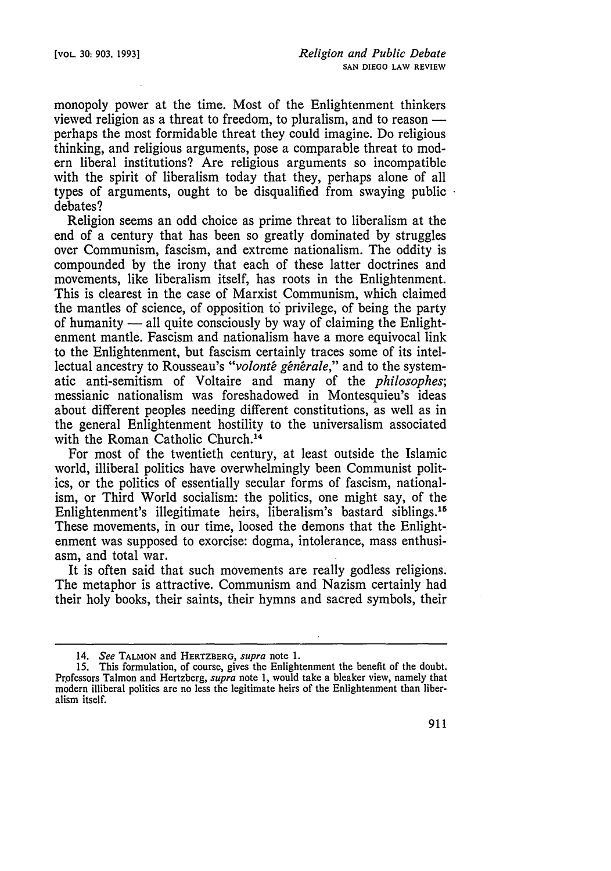monopoly power at the time. Most of the Enlightenment thinkers viewed religion as a threat to freedom, to pluralism, and to reason  $$ perhaps the most formidable threat they could imagine. Do religious thinking, and religious arguments, pose a comparable threat to modern liberal institutions? Are religious arguments so incompatible with the spirit of liberalism today that they, perhaps alone of all types of arguments, ought to be disqualified from swaying public debates?

Religion seems an odd choice as prime threat to liberalism at the end of a century that has been so greatly dominated by struggles over Communism, fascism, and extreme nationalism. The oddity is compounded by the irony that each of these latter doctrines and movements, like liberalism itself, has roots in the Enlightenment. This is clearest in the case of Marxist Communism, which claimed the mantles of science, of opposition to privilege, of being the party of humanity  $-$  all quite consciously by way of claiming the Enlightenment mantle. Fascism and nationalism have a more equivocal link to the Enlightenment, but fascism certainly traces some of its intellectual ancestry to Rousseau's "volonté générale," and to the systematic anti-semitism of Voltaire and many of the *philosophes;* messianic nationalism was foreshadowed in Montesquieu's ideas about different peoples needing different constitutions, as well as in the general Enlightenment hostility to the universalism associated with the Roman Catholic Church.<sup>14</sup>

For most of the twentieth century, at least outside the Islamic world, illiberal politics have overwhelmingly been Communist politics, or the politics of essentially secular forms of fascism, nationalism, or Third World socialism: the politics, one might say, of the Enlightenment's illegitimate heirs, liberalism's bastard siblings.<sup>15</sup> These movements, in our time, loosed the demons that the Enlightenment was supposed to exorcise: dogma, intolerance, mass enthusiasm, and total war.

It is often said that such movements are really godless religions. The metaphor is attractive. Communism and Nazism certainly had their holy books, their saints, their hymns and sacred symbols, their

**<sup>14.</sup>** *See* **TALMON** and **HERTZBERG,** *supra* note **1.**

**<sup>15.</sup>** This formulation, of course, gives the Enlightenment the benefit of the doubt. Professors Talmon and Hertzberg, *supra* note 1, would take a bleaker view, namely that modern illiberal politics are no less the legitimate heirs of the Enlightenment than liberalism itself.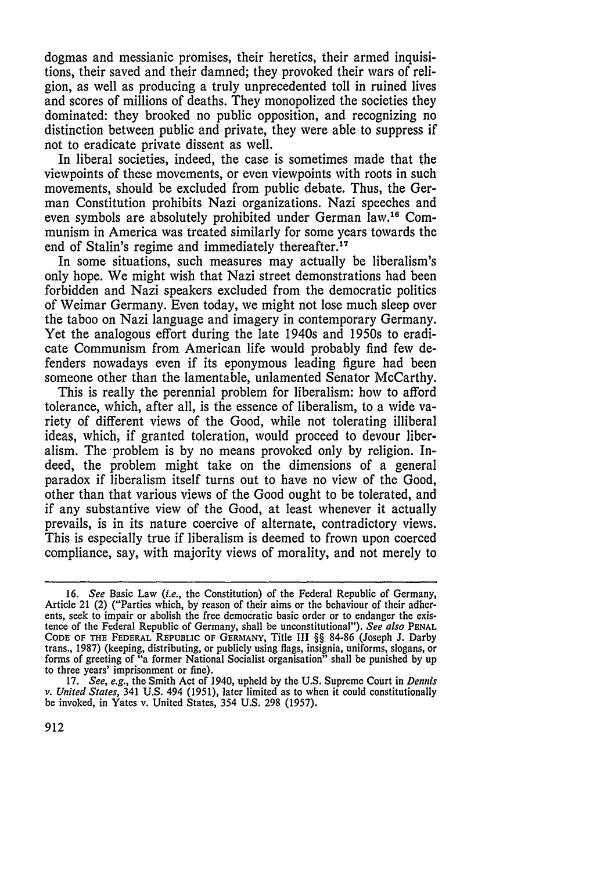dogmas and messianic promises, their heretics, their armed inquisitions, their saved and their damned; they provoked their wars of religion, as well as producing a truly unprecedented toll in ruined lives and scores of millions of deaths. They monopolized the societies they dominated: they brooked no public opposition, and recognizing no distinction between public and private, they were able to suppress if not to eradicate private dissent as well.

In liberal societies, indeed, the case is sometimes made that the viewpoints of these movements, or even viewpoints with roots in such movements, should be excluded from public debate. Thus, the German Constitution prohibits Nazi organizations. Nazi speeches and even symbols are absolutely prohibited under German law. 16 Communism in America was treated similarly for some years towards the end of Stalin's regime and immediately thereafter.<sup>17</sup>

In some situations, such measures may actually be liberalism's only hope. We might wish that Nazi street demonstrations had been forbidden and Nazi speakers excluded from the democratic politics of Weimar Germany. Even today, we might not lose much sleep over the taboo on Nazi language and imagery in contemporary Germany. Yet the analogous effort during the late 1940s and 1950s to eradicate Communism from American life would probably find few defenders nowadays even if its eponymous leading figure had been someone other than the lamentable, unlamented Senator McCarthy.

This is really the perennial problem for liberalism: how to afford tolerance, which, after all, is the essence of liberalism, to a wide variety of different views of the Good, while not tolerating illiberal ideas, which, if granted toleration, would proceed to devour liberalism. The'problem is by no means provoked only by religion. Indeed, the problem might take on the dimensions of a general paradox if liberalism itself turns out to have no view of the Good, other than that various views of the Good ought to be tolerated, and if any substantive view of the Good, at least whenever it actually prevails, is in its nature coercive of alternate, contradictory views. This is especially true if liberalism is deemed to frown upon coerced compliance, say, with majority views of morality, and not merely to

<sup>16.</sup> *See* Basic Law *(i.e.,* the Constitution) of the Federal Republic of Germany, Article 21 (2) ("Parties which, by reason of their aims or the behaviour of their adherents, seek to impair or abolish the free democratic basic order or to endanger the existence of the Federal Republic of Germany, shall be unconstitutional"). *See also* **PENAL CODE OF** THE FEDERAL REPUBLIC **OF GERMANY,** Title III §§ 84-86 (Joseph **J.** Darby trans., 1987) (keeping, distributing, or publicly using flags, insignia, uniforms, slogans, or forms of greeting of "a former National Socialist organisation" shall be punished by up to three years' imprisonment or fine).

<sup>17.</sup> *See, e.g.,* the Smith Act of 1940, upheld by the U.S. Supreme Court in *Dennis v. United States,* 341 U.S. 494 (1951), later limited as to when it could constitutionally be invoked, in Yates v. United States, 354 U.S. 298 (1957).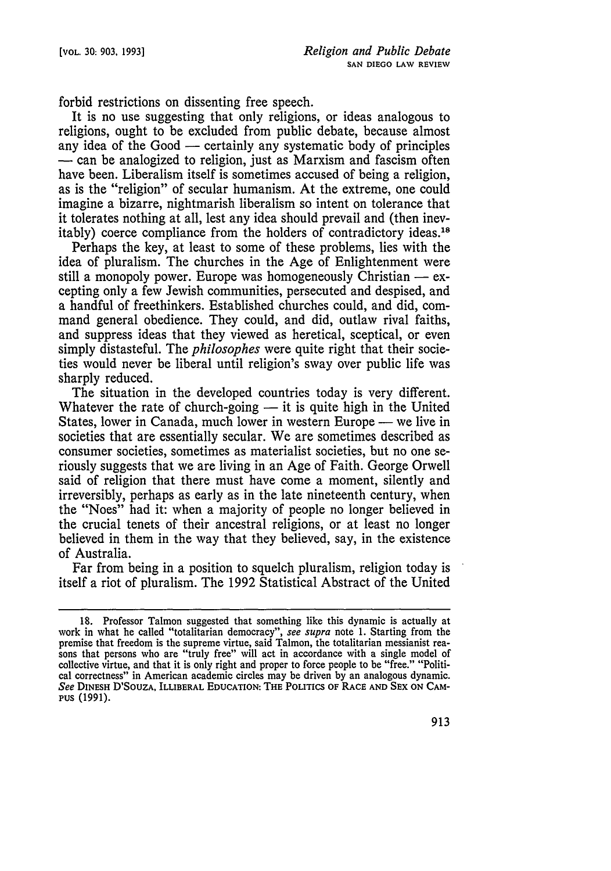forbid restrictions on dissenting free speech.

It is no use suggesting that only religions, or ideas analogous to religions, ought to be excluded from public debate, because almost any idea of the Good  $-$  certainly any systematic body of principles **-** can be analogized to religion, just as Marxism and fascism often have been. Liberalism itself is sometimes accused of being a religion, as is the "religion" of secular humanism. At the extreme, one could imagine a bizarre, nightmarish liberalism so intent on tolerance that it tolerates nothing at all, lest any idea should prevail and (then inevitably) coerce compliance from the holders of contradictory ideas.<sup>18</sup>

Perhaps the key, at least to some of these problems, lies with the idea of pluralism. The churches in the Age of Enlightenment were still a monopoly power. Europe was homogeneously Christian  $-$  excepting only a few Jewish communities, persecuted and despised, and a handful of freethinkers. Established churches could, and did, command general obedience. They could, and did, outlaw rival faiths, and suppress ideas that they viewed as heretical, sceptical, or even simply distasteful. The *philosophes* were quite right that their societies would never be liberal until religion's sway over public life was sharply reduced.

The situation in the developed countries today is very different. Whatever the rate of church-going — it is quite high in the United States, lower in Canada, much lower in western Europe — we live in societies that are essentially secular. We are sometimes described as consumer societies, sometimes as materialist societies, but no one seriously suggests that we are living in an Age of Faith. George Orwell said of religion that there must have come a moment, silently and irreversibly, perhaps as early as in the late nineteenth century, when the "Noes" had it: when a majority of people no longer believed in the crucial tenets of their ancestral religions, or at least no longer believed in them in the way that they believed, say, in the existence of Australia.

Far from being in a position to squelch pluralism, religion today is itself a riot of pluralism. The 1992 Statistical Abstract of the United

<sup>18.</sup> Professor Talmon suggested that something like this dynamic is actually at work in what he called "totalitarian democracy", *see supra* note 1. Starting from the premise that freedom is the supreme virtue, said Talmon, the totalitarian messianist rea- sons that persons who are "truly free" will act in accordance with a single model of collective virtue, and that it is only right and proper to force people to be "free." "Political correctness" in American academic circles may be driven **by** an analogous dynamic. See DINESH D'SOUZA, ILLIBERAL EDUCATION: THE POLITICS OF RACE AND SEX ON CAM-**PUS (1991).**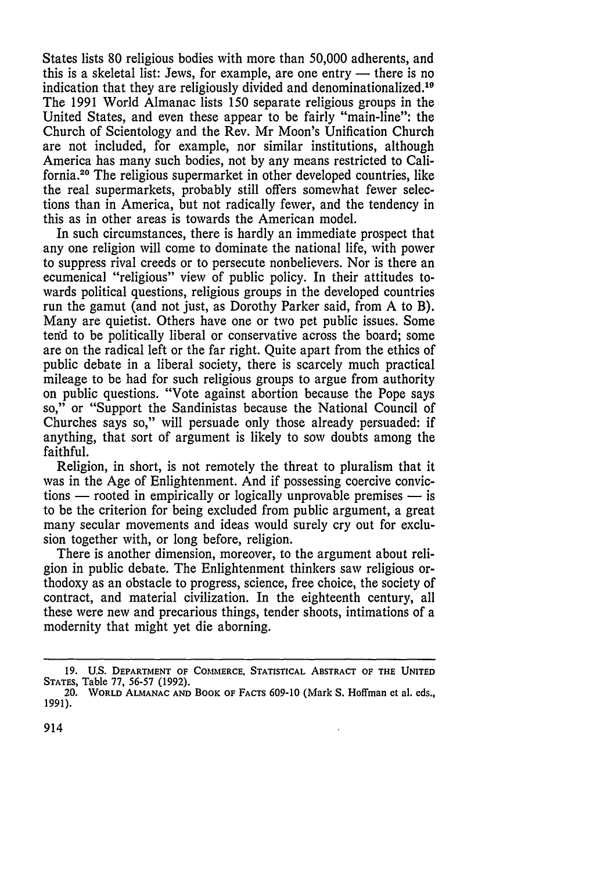States lists 80 religious bodies with more than 50,000 adherents, and this is a skeletal list: Jews, for example, are one entry  $-$  there is no indication that they are religiously divided and denominationalized.<sup>19</sup> The 1991 World Almanac lists 150 separate religious groups in the United States, and even these appear to be fairly "main-line": the Church of Scientology and the Rev. Mr Moon's Unification Church are not included, for example, nor similar institutions, although America has many such bodies, not by any means restricted to California.20 The religious supermarket in other developed countries, like the real supermarkets, probably still offers somewhat fewer selections than in America, but not radically fewer, and the tendency in this as in other areas is towards the American model.

In such circumstances, there is hardly an immediate prospect that any one religion will come to dominate the national life, with power to suppress rival creeds or to persecute nonbelievers. Nor is there an ecumenical "religious" view of public policy. In their attitudes towards political questions, religious groups in the developed countries run the gamut (and not just, as Dorothy Parker said, from A to B). Many are quietist. Others have one or two pet public issues. Some tend to be politically liberal or conservative across the board; some are on the radical left or the far right. Quite apart from the ethics of public debate in a liberal society, there is scarcely much practical mileage to be had for such religious groups to argue from authority on public questions. "Vote against abortion because the Pope says so," or "Support the Sandinistas because the National Council of Churches says so," will persuade only those already persuaded: if anything, that sort of argument is likely to sow doubts among the faithful.

Religion, in short, is not remotely the threat to pluralism that it was in the Age of Enlightenment. And if possessing coercive convictions — rooted in empirically or logically unprovable premises — is to be the criterion for being excluded from public argument, a great many secular movements and ideas would surely cry out for exclusion together with, or long before, religion.

There is another dimension, moreover, to the argument about religion in public debate. The Enlightenment thinkers saw religious orthodoxy as an obstacle to progress, science, free choice, the society of contract, and material civilization. In the eighteenth century, all these were new and precarious things, tender shoots, intimations of a modernity that might yet die aborning.

**<sup>19.</sup> U.S. DEPARTMENT OF COMMERCE, STATISTICAL ABSTRACT OF THE UNITED STATES,** Table **77, 56-57 (1992).**

<sup>20.</sup> **WORLD ALMANAC AND BOOK OF FACTS 609-10** (Mark **S.** Hoffman et al. eds., **1991).**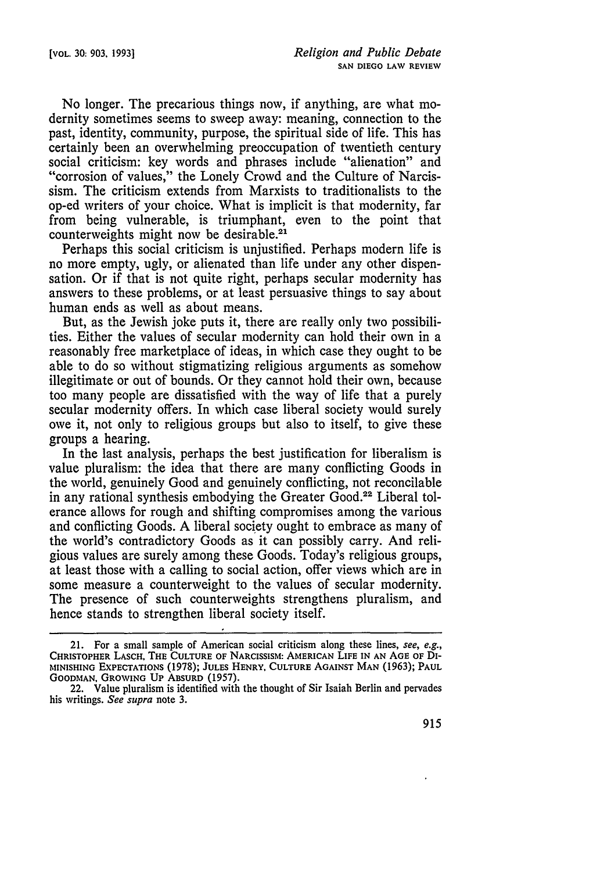No longer. The precarious things now, if anything, are what modernity sometimes seems to sweep away: meaning, connection to the past, identity, community, purpose, the spiritual side of life. This has certainly been an overwhelming preoccupation of twentieth century social criticism: key words and phrases include "alienation" and "corrosion of values," the Lonely Crowd and the Culture of Narcissism. The criticism extends from Marxists to traditionalists to the op-ed writers of your choice. What is implicit is that modernity, far from being vulnerable, is triumphant, even to the point that counterweights might now be desirable.<sup>21</sup>

Perhaps this social criticism is unjustified. Perhaps modern life is no more empty, ugly, or alienated than life under any other dispensation. Or if that is not quite right, perhaps secular modernity has answers to these problems, or at least persuasive things to say about human ends as well as about means.

But, as the Jewish joke puts it, there are really only two possibilities. Either the values of secular modernity can hold their own in a reasonably free marketplace of ideas, in which case they ought to be able to do so without stigmatizing religious arguments as somehow illegitimate or out of bounds. Or they cannot hold their own, because too many people are dissatisfied with the way of life that a purely secular modernity offers. In which case liberal society would surely owe it, not only to religious groups but also to itself, to give these groups a hearing.

In the last analysis, perhaps the best justification for liberalism is value pluralism: the idea that there are many conflicting Goods in the world, genuinely Good and genuinely conflicting, not reconcilable in any rational synthesis embodying the Greater Good.<sup>22</sup> Liberal tolerance allows for rough and shifting compromises among the various and conflicting Goods. A liberal society ought to embrace as many of the world's contradictory Goods as it can possibly carry. And religious values are surely among these Goods. Today's religious groups, at least those with a calling to social action, offer views which are in some measure a counterweight to the values of secular modernity. The presence of such counterweights strengthens pluralism, and hence stands to strengthen liberal society itself.

<sup>21.</sup> For a small sample of American social criticism along these lines, see, e.g., **CHRISTOPHER** LASCH, THE **CULTURE OF NARCISSISM: AMERICAN LIFE IN AN AGE OF DI-MINISHING EXPECTATIONS** (1978); **JULES** HENRY, **CULTURE AGAINST MAN** (1963); **PAUL GOODMAN, GROWING Up ABSURD** (1957).

<sup>22.</sup> Value pluralism is identified with the thought of Sir Isaiah Berlin and pervades his writings. *See supra* note 3.